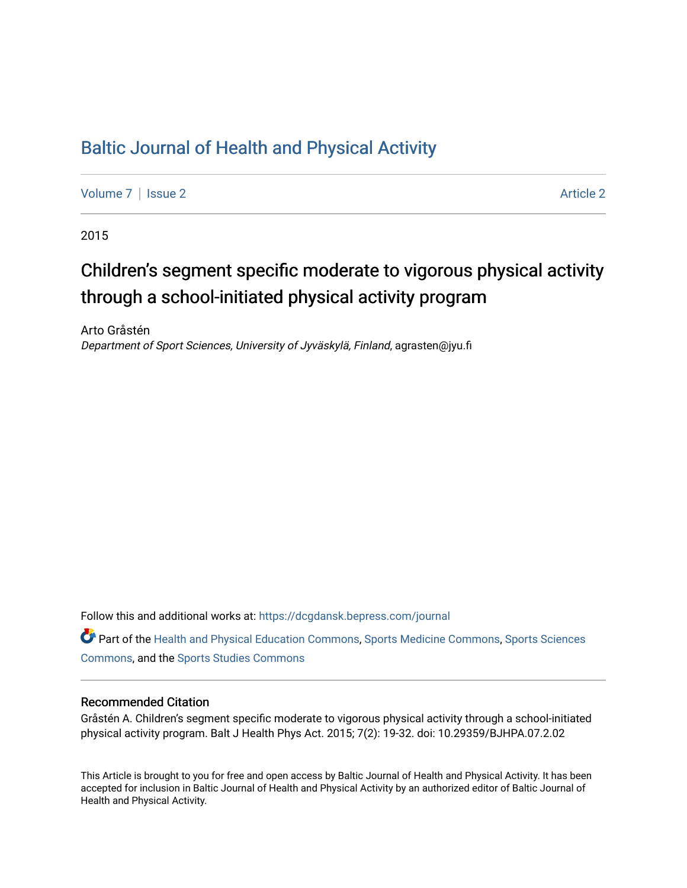# [Baltic Journal of Health and Physical Activity](https://dcgdansk.bepress.com/journal)

[Volume 7](https://dcgdansk.bepress.com/journal/vol7) | [Issue 2](https://dcgdansk.bepress.com/journal/vol7/iss2) Article 2

2015

# Children's segment specific moderate to vigorous physical activity through a school-initiated physical activity program

Arto Gråstén Department of Sport Sciences, University of Jyväskylä, Finland, agrasten@jyu.fi

Follow this and additional works at: [https://dcgdansk.bepress.com/journal](https://dcgdansk.bepress.com/journal?utm_source=dcgdansk.bepress.com%2Fjournal%2Fvol7%2Fiss2%2F2&utm_medium=PDF&utm_campaign=PDFCoverPages)

Part of the [Health and Physical Education Commons](http://network.bepress.com/hgg/discipline/1327?utm_source=dcgdansk.bepress.com%2Fjournal%2Fvol7%2Fiss2%2F2&utm_medium=PDF&utm_campaign=PDFCoverPages), [Sports Medicine Commons,](http://network.bepress.com/hgg/discipline/1331?utm_source=dcgdansk.bepress.com%2Fjournal%2Fvol7%2Fiss2%2F2&utm_medium=PDF&utm_campaign=PDFCoverPages) [Sports Sciences](http://network.bepress.com/hgg/discipline/759?utm_source=dcgdansk.bepress.com%2Fjournal%2Fvol7%2Fiss2%2F2&utm_medium=PDF&utm_campaign=PDFCoverPages) [Commons](http://network.bepress.com/hgg/discipline/759?utm_source=dcgdansk.bepress.com%2Fjournal%2Fvol7%2Fiss2%2F2&utm_medium=PDF&utm_campaign=PDFCoverPages), and the [Sports Studies Commons](http://network.bepress.com/hgg/discipline/1198?utm_source=dcgdansk.bepress.com%2Fjournal%2Fvol7%2Fiss2%2F2&utm_medium=PDF&utm_campaign=PDFCoverPages) 

#### Recommended Citation

Gråstén A. Children's segment specific moderate to vigorous physical activity through a school-initiated physical activity program. Balt J Health Phys Act. 2015; 7(2): 19-32. doi: 10.29359/BJHPA.07.2.02

This Article is brought to you for free and open access by Baltic Journal of Health and Physical Activity. It has been accepted for inclusion in Baltic Journal of Health and Physical Activity by an authorized editor of Baltic Journal of Health and Physical Activity.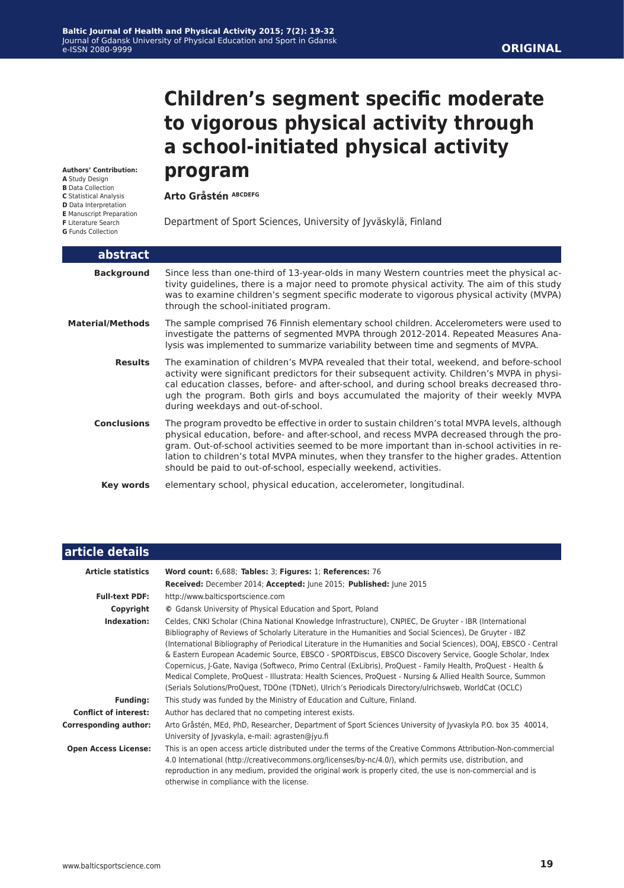**Arto Gråstén ABCDEFG** 

# **Children's segment specific moderate to vigorous physical activity through a school-initiated physical activity program**

**Authors' Contribution: A** Study Design

- **B** Data Collection
- **C** Statistical Analysis
- **D** Data Interpretation
- **E** Manuscript Preparation
- **F** Literature Search
- **G** Funds Collection

I

Department of Sport Sciences, University of Jyväskylä, Finland

| abstract                |                                                                                                                                                                                                                                                                                                                                                                                                                                                            |
|-------------------------|------------------------------------------------------------------------------------------------------------------------------------------------------------------------------------------------------------------------------------------------------------------------------------------------------------------------------------------------------------------------------------------------------------------------------------------------------------|
| <b>Background</b>       | Since less than one-third of 13-year-olds in many Western countries meet the physical ac-<br>tivity guidelines, there is a major need to promote physical activity. The aim of this study<br>was to examine children's segment specific moderate to vigorous physical activity (MVPA)<br>through the school-initiated program.                                                                                                                             |
| <b>Material/Methods</b> | The sample comprised 76 Finnish elementary school children. Accelerometers were used to<br>investigate the patterns of segmented MVPA through 2012-2014. Repeated Measures Ana-<br>lysis was implemented to summarize variability between time and segments of MVPA.                                                                                                                                                                                       |
| <b>Results</b>          | The examination of children's MVPA revealed that their total, weekend, and before-school<br>activity were significant predictors for their subsequent activity. Children's MVPA in physi-<br>cal education classes, before- and after-school, and during school breaks decreased thro-<br>ugh the program. Both girls and boys accumulated the majority of their weekly MVPA<br>during weekdays and out-of-school.                                         |
| <b>Conclusions</b>      | The program provedto be effective in order to sustain children's total MVPA levels, although<br>physical education, before- and after-school, and recess MVPA decreased through the pro-<br>gram. Out-of-school activities seemed to be more important than in-school activities in re-<br>lation to children's total MVPA minutes, when they transfer to the higher grades. Attention<br>should be paid to out-of-school, especially weekend, activities. |
| Key words               | elementary school, physical education, accelerometer, longitudinal.                                                                                                                                                                                                                                                                                                                                                                                        |

| article details              |                                                                                                                                                                                                                                                                                                                                                                                                                                                                                                                                                                                                                                                                                                                                                                                                |
|------------------------------|------------------------------------------------------------------------------------------------------------------------------------------------------------------------------------------------------------------------------------------------------------------------------------------------------------------------------------------------------------------------------------------------------------------------------------------------------------------------------------------------------------------------------------------------------------------------------------------------------------------------------------------------------------------------------------------------------------------------------------------------------------------------------------------------|
| <b>Article statistics</b>    | Word count: 6,688; Tables: 3; Figures: 1; References: 76                                                                                                                                                                                                                                                                                                                                                                                                                                                                                                                                                                                                                                                                                                                                       |
|                              | Received: December 2014; Accepted: June 2015; Published: June 2015                                                                                                                                                                                                                                                                                                                                                                                                                                                                                                                                                                                                                                                                                                                             |
| <b>Full-text PDF:</b>        | http://www.balticsportscience.com                                                                                                                                                                                                                                                                                                                                                                                                                                                                                                                                                                                                                                                                                                                                                              |
| Copyright                    | © Gdansk University of Physical Education and Sport, Poland                                                                                                                                                                                                                                                                                                                                                                                                                                                                                                                                                                                                                                                                                                                                    |
| Indexation:                  | Celdes, CNKI Scholar (China National Knowledge Infrastructure), CNPIEC, De Gruyter - IBR (International<br>Bibliography of Reviews of Scholarly Literature in the Humanities and Social Sciences), De Gruyter - IBZ<br>(International Bibliography of Periodical Literature in the Humanities and Social Sciences), DOAJ, EBSCO - Central<br>& Eastern European Academic Source, EBSCO - SPORTDiscus, EBSCO Discovery Service, Google Scholar, Index<br>Copernicus, J-Gate, Naviga (Softweco, Primo Central (ExLibris), ProQuest - Family Health, ProQuest - Health &<br>Medical Complete, ProQuest - Illustrata: Health Sciences, ProQuest - Nursing & Allied Health Source, Summon<br>(Serials Solutions/ProQuest, TDOne (TDNet), Ulrich's Periodicals Directory/ulrichsweb, WorldCat (OCLC) |
| <b>Funding:</b>              | This study was funded by the Ministry of Education and Culture, Finland.                                                                                                                                                                                                                                                                                                                                                                                                                                                                                                                                                                                                                                                                                                                       |
| <b>Conflict of interest:</b> | Author has declared that no competing interest exists.                                                                                                                                                                                                                                                                                                                                                                                                                                                                                                                                                                                                                                                                                                                                         |
| <b>Corresponding author:</b> | Arto Gråstén, MEd, PhD, Researcher, Department of Sport Sciences University of Jyvaskyla P.O. box 35 40014,<br>University of Jyvaskyla, e-mail: agrasten@jyu.fi                                                                                                                                                                                                                                                                                                                                                                                                                                                                                                                                                                                                                                |
| <b>Open Access License:</b>  | This is an open access article distributed under the terms of the Creative Commons Attribution-Non-commercial<br>4.0 International (http://creativecommons.org/licenses/by-nc/4.0/), which permits use, distribution, and<br>reproduction in any medium, provided the original work is properly cited, the use is non-commercial and is<br>otherwise in compliance with the license.                                                                                                                                                                                                                                                                                                                                                                                                           |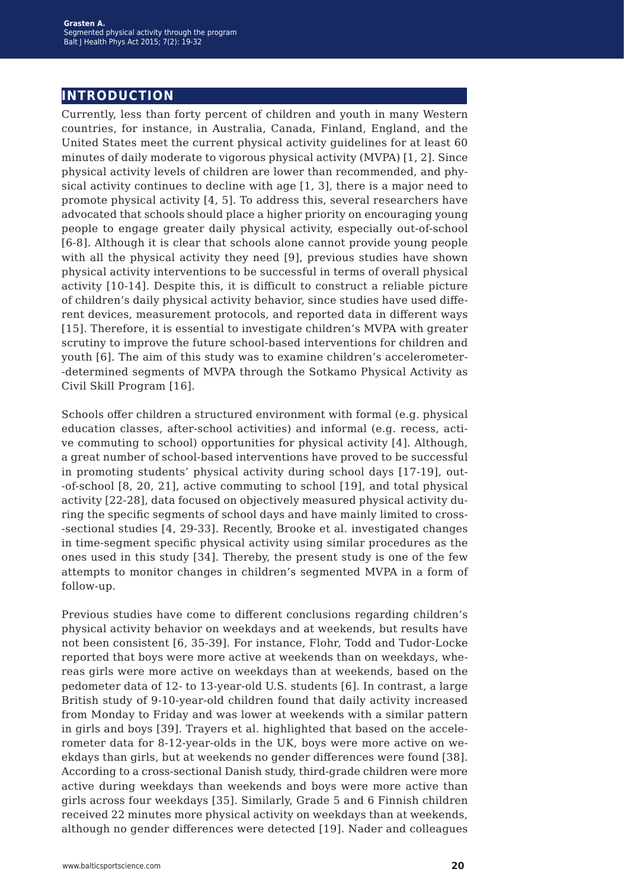# **introduction**

Currently, less than forty percent of children and youth in many Western countries, for instance, in Australia, Canada, Finland, England, and the United States meet the current physical activity guidelines for at least 60 minutes of daily moderate to vigorous physical activity (MVPA) [1, 2]. Since physical activity levels of children are lower than recommended, and physical activity continues to decline with age [1, 3], there is a major need to promote physical activity  $[4, 5]$ . To address this, several researchers have advocated that schools should place a higher priority on encouraging young people to engage greater daily physical activity, especially out-of-school [6-8]. Although it is clear that schools alone cannot provide young people with all the physical activity they need [9], previous studies have shown physical activity interventions to be successful in terms of overall physical activity [10-14]. Despite this, it is difficult to construct a reliable picture of children's daily physical activity behavior, since studies have used different devices, measurement protocols, and reported data in different ways [15]. Therefore, it is essential to investigate children's MVPA with greater scrutiny to improve the future school-based interventions for children and youth [6]. The aim of this study was to examine children's accelerometer- -determined segments of MVPA through the Sotkamo Physical Activity as Civil Skill Program [16].

Schools offer children a structured environment with formal (e.g. physical education classes, after-school activities) and informal (e.g. recess, active commuting to school) opportunities for physical activity [4]. Although, a great number of school-based interventions have proved to be successful in promoting students' physical activity during school days [17-19], out- -of-school [8, 20, 21], active commuting to school [19], and total physical activity [22-28], data focused on objectively measured physical activity during the specific segments of school days and have mainly limited to cross- -sectional studies [4, 29-33]. Recently, Brooke et al. investigated changes in time-segment specific physical activity using similar procedures as the ones used in this study [34]. Thereby, the present study is one of the few attempts to monitor changes in children's segmented MVPA in a form of follow-up.

Previous studies have come to different conclusions regarding children's physical activity behavior on weekdays and at weekends, but results have not been consistent [6, 35-39]. For instance, Flohr, Todd and Tudor-Locke reported that boys were more active at weekends than on weekdays, whereas girls were more active on weekdays than at weekends, based on the pedometer data of 12- to 13-year-old U.S. students [6]. In contrast, a large British study of 9-10-year-old children found that daily activity increased from Monday to Friday and was lower at weekends with a similar pattern in girls and boys [39]. Trayers et al. highlighted that based on the accelerometer data for 8-12-year-olds in the UK, boys were more active on weekdays than girls, but at weekends no gender differences were found [38]. According to a cross-sectional Danish study, third-grade children were more active during weekdays than weekends and boys were more active than girls across four weekdays [35]. Similarly, Grade 5 and 6 Finnish children received 22 minutes more physical activity on weekdays than at weekends, although no gender differences were detected [19]. Nader and colleagues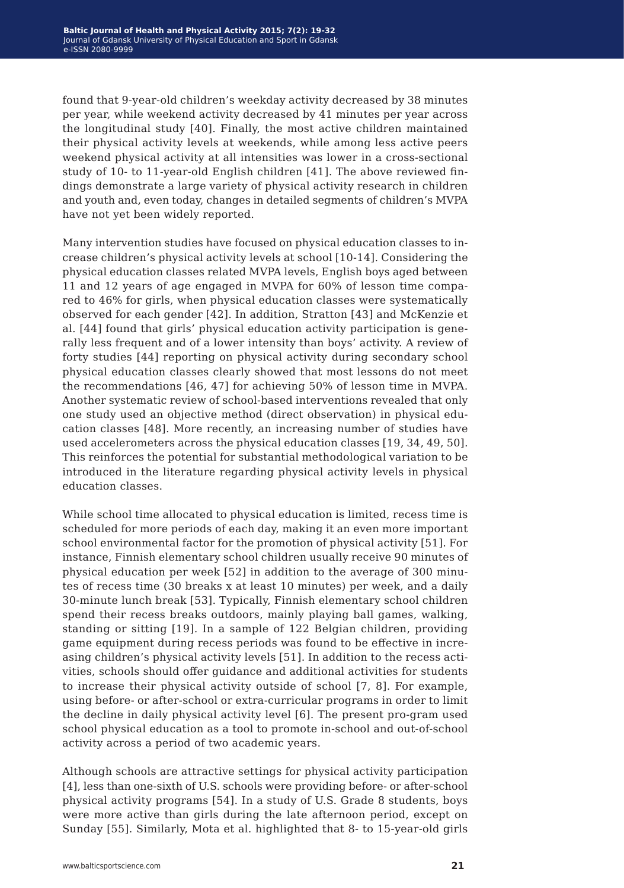found that 9-year-old children's weekday activity decreased by 38 minutes per year, while weekend activity decreased by 41 minutes per year across the longitudinal study [40]. Finally, the most active children maintained their physical activity levels at weekends, while among less active peers weekend physical activity at all intensities was lower in a cross-sectional study of 10- to 11-year-old English children [41]. The above reviewed findings demonstrate a large variety of physical activity research in children and youth and, even today, changes in detailed segments of children's MVPA have not yet been widely reported.

Many intervention studies have focused on physical education classes to increase children's physical activity levels at school [10-14]. Considering the physical education classes related MVPA levels, English boys aged between 11 and 12 years of age engaged in MVPA for 60% of lesson time compared to 46% for girls, when physical education classes were systematically observed for each gender [42]. In addition, Stratton [43] and McKenzie et al. [44] found that girls' physical education activity participation is generally less frequent and of a lower intensity than boys' activity. A review of forty studies [44] reporting on physical activity during secondary school physical education classes clearly showed that most lessons do not meet the recommendations [46, 47] for achieving 50% of lesson time in MVPA. Another systematic review of school-based interventions revealed that only one study used an objective method (direct observation) in physical education classes [48]. More recently, an increasing number of studies have used accelerometers across the physical education classes [19, 34, 49, 50]. This reinforces the potential for substantial methodological variation to be introduced in the literature regarding physical activity levels in physical education classes.

While school time allocated to physical education is limited, recess time is scheduled for more periods of each day, making it an even more important school environmental factor for the promotion of physical activity [51]. For instance, Finnish elementary school children usually receive 90 minutes of physical education per week [52] in addition to the average of 300 minutes of recess time (30 breaks x at least 10 minutes) per week, and a daily 30-minute lunch break [53]. Typically, Finnish elementary school children spend their recess breaks outdoors, mainly playing ball games, walking, standing or sitting [19]. In a sample of 122 Belgian children, providing game equipment during recess periods was found to be effective in increasing children's physical activity levels [51]. In addition to the recess activities, schools should offer guidance and additional activities for students to increase their physical activity outside of school [7, 8]. For example, using before- or after-school or extra-curricular programs in order to limit the decline in daily physical activity level [6]. The present pro-gram used school physical education as a tool to promote in-school and out-of-school activity across a period of two academic years.

Although schools are attractive settings for physical activity participation [4], less than one-sixth of U.S. schools were providing before- or after-school physical activity programs [54]. In a study of U.S. Grade 8 students, boys were more active than girls during the late afternoon period, except on Sunday [55]. Similarly, Mota et al. highlighted that 8- to 15-year-old girls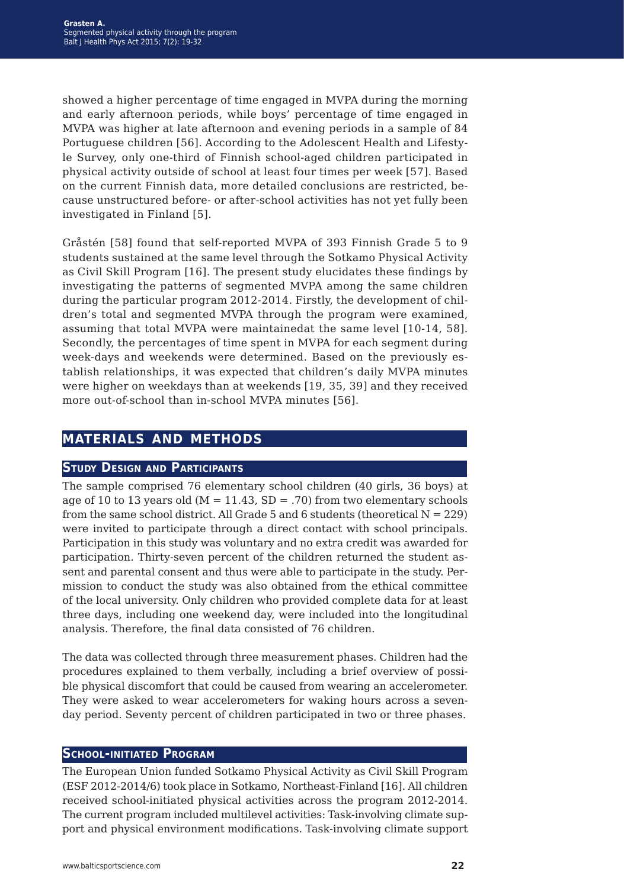showed a higher percentage of time engaged in MVPA during the morning and early afternoon periods, while boys' percentage of time engaged in MVPA was higher at late afternoon and evening periods in a sample of 84 Portuguese children [56]. According to the Adolescent Health and Lifestyle Survey, only one-third of Finnish school-aged children participated in physical activity outside of school at least four times per week [57]. Based on the current Finnish data, more detailed conclusions are restricted, because unstructured before- or after-school activities has not yet fully been investigated in Finland [5].

Gråstén [58] found that self-reported MVPA of 393 Finnish Grade 5 to 9 students sustained at the same level through the Sotkamo Physical Activity as Civil Skill Program [16]. The present study elucidates these findings by investigating the patterns of segmented MVPA among the same children during the particular program 2012-2014. Firstly, the development of children's total and segmented MVPA through the program were examined, assuming that total MVPA were maintainedat the same level [10-14, 58]. Secondly, the percentages of time spent in MVPA for each segment during week-days and weekends were determined. Based on the previously establish relationships, it was expected that children's daily MVPA minutes were higher on weekdays than at weekends [19, 35, 39] and they received more out-of-school than in-school MVPA minutes [56].

# **materials and methods**

## **Study Design and Participants**

The sample comprised 76 elementary school children (40 girls, 36 boys) at age of 10 to 13 years old ( $M = 11.43$ , SD = .70) from two elementary schools from the same school district. All Grade 5 and 6 students (theoretical  $N = 229$ ) were invited to participate through a direct contact with school principals. Participation in this study was voluntary and no extra credit was awarded for participation. Thirty-seven percent of the children returned the student assent and parental consent and thus were able to participate in the study. Permission to conduct the study was also obtained from the ethical committee of the local university. Only children who provided complete data for at least three days, including one weekend day, were included into the longitudinal analysis. Therefore, the final data consisted of 76 children.

The data was collected through three measurement phases. Children had the procedures explained to them verbally, including a brief overview of possible physical discomfort that could be caused from wearing an accelerometer. They were asked to wear accelerometers for waking hours across a sevenday period. Seventy percent of children participated in two or three phases.

#### **School-initiated Program**

The European Union funded Sotkamo Physical Activity as Civil Skill Program (ESF 2012-2014/6) took place in Sotkamo, Northeast-Finland [16]. All children received school-initiated physical activities across the program 2012-2014. The current program included multilevel activities: Task-involving climate support and physical environment modifications. Task-involving climate support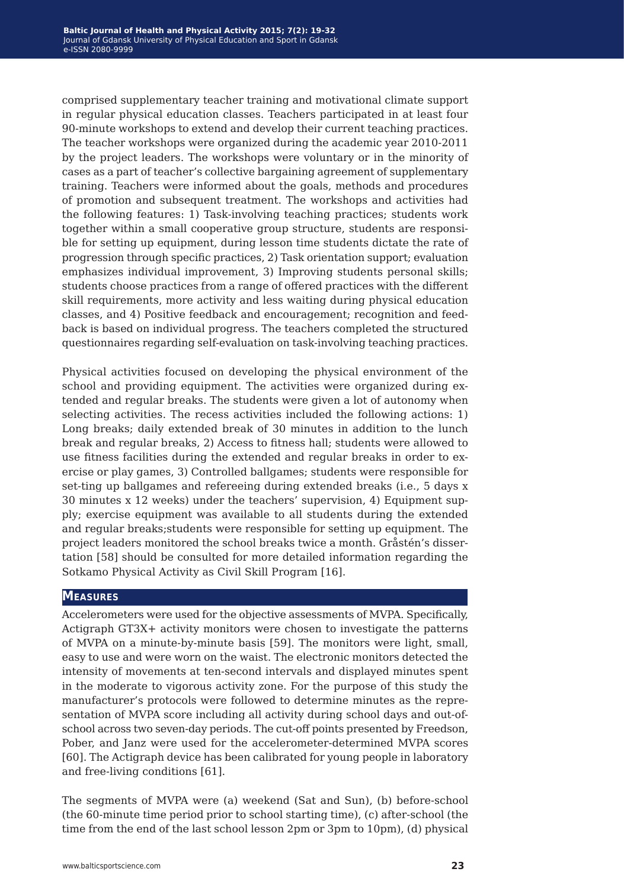comprised supplementary teacher training and motivational climate support in regular physical education classes. Teachers participated in at least four 90-minute workshops to extend and develop their current teaching practices. The teacher workshops were organized during the academic year 2010-2011 by the project leaders. The workshops were voluntary or in the minority of cases as a part of teacher's collective bargaining agreement of supplementary training. Teachers were informed about the goals, methods and procedures of promotion and subsequent treatment. The workshops and activities had the following features: 1) Task-involving teaching practices; students work together within a small cooperative group structure, students are responsible for setting up equipment, during lesson time students dictate the rate of progression through specific practices, 2) Task orientation support; evaluation emphasizes individual improvement, 3) Improving students personal skills; students choose practices from a range of offered practices with the different skill requirements, more activity and less waiting during physical education classes, and 4) Positive feedback and encouragement; recognition and feedback is based on individual progress. The teachers completed the structured questionnaires regarding self-evaluation on task-involving teaching practices.

Physical activities focused on developing the physical environment of the school and providing equipment. The activities were organized during extended and regular breaks. The students were given a lot of autonomy when selecting activities. The recess activities included the following actions: 1) Long breaks; daily extended break of 30 minutes in addition to the lunch break and regular breaks, 2) Access to fitness hall; students were allowed to use fitness facilities during the extended and regular breaks in order to exercise or play games, 3) Controlled ballgames; students were responsible for set-ting up ballgames and refereeing during extended breaks (i.e., 5 days x 30 minutes x 12 weeks) under the teachers' supervision, 4) Equipment supply; exercise equipment was available to all students during the extended and regular breaks;students were responsible for setting up equipment. The project leaders monitored the school breaks twice a month. Gråstén's dissertation [58] should be consulted for more detailed information regarding the Sotkamo Physical Activity as Civil Skill Program [16].

#### **Measures**

Accelerometers were used for the objective assessments of MVPA. Specifically, Actigraph GT3X+ activity monitors were chosen to investigate the patterns of MVPA on a minute-by-minute basis [59]. The monitors were light, small, easy to use and were worn on the waist. The electronic monitors detected the intensity of movements at ten-second intervals and displayed minutes spent in the moderate to vigorous activity zone. For the purpose of this study the manufacturer's protocols were followed to determine minutes as the representation of MVPA score including all activity during school days and out-ofschool across two seven-day periods. The cut-off points presented by Freedson, Pober, and Janz were used for the accelerometer-determined MVPA scores [60]. The Actigraph device has been calibrated for young people in laboratory and free-living conditions [61].

The segments of MVPA were (a) weekend (Sat and Sun), (b) before-school (the 60-minute time period prior to school starting time), (c) after-school (the time from the end of the last school lesson 2pm or 3pm to 10pm), (d) physical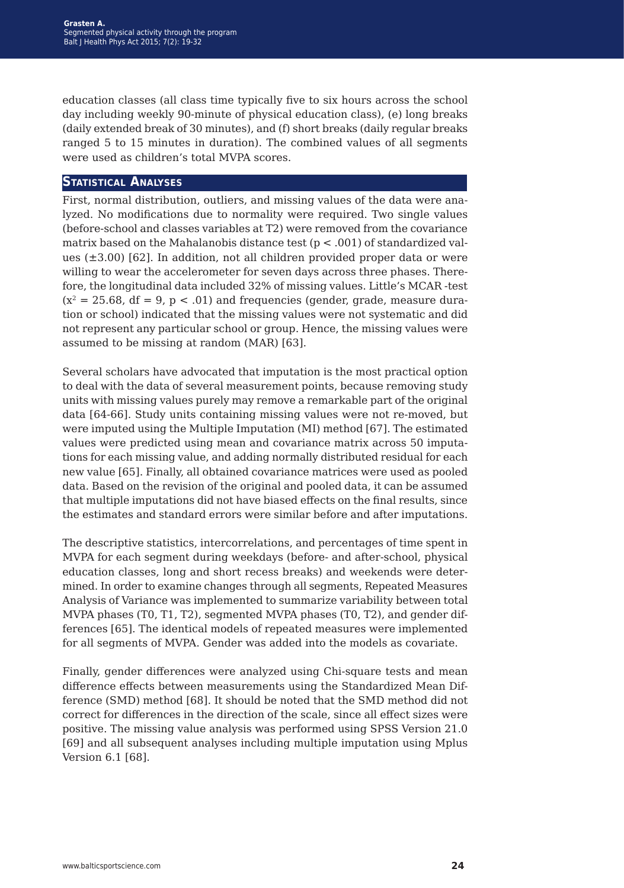education classes (all class time typically five to six hours across the school day including weekly 90-minute of physical education class), (e) long breaks (daily extended break of 30 minutes), and (f) short breaks (daily regular breaks ranged 5 to 15 minutes in duration). The combined values of all segments were used as children's total MVPA scores.

#### **Statistical Analyses**

First, normal distribution, outliers, and missing values of the data were analyzed. No modifications due to normality were required. Two single values (before-school and classes variables at T2) were removed from the covariance matrix based on the Mahalanobis distance test ( $p < .001$ ) of standardized values  $(\pm 3.00)$  [62]. In addition, not all children provided proper data or were willing to wear the accelerometer for seven days across three phases. Therefore, the longitudinal data included 32% of missing values. Little's MCAR -test  $(x^2 = 25.68, df = 9, p < .01)$  and frequencies (gender, grade, measure duration or school) indicated that the missing values were not systematic and did not represent any particular school or group. Hence, the missing values were assumed to be missing at random (MAR) [63].

Several scholars have advocated that imputation is the most practical option to deal with the data of several measurement points, because removing study units with missing values purely may remove a remarkable part of the original data [64-66]. Study units containing missing values were not re-moved, but were imputed using the Multiple Imputation (MI) method [67]. The estimated values were predicted using mean and covariance matrix across 50 imputations for each missing value, and adding normally distributed residual for each new value [65]. Finally, all obtained covariance matrices were used as pooled data. Based on the revision of the original and pooled data, it can be assumed that multiple imputations did not have biased effects on the final results, since the estimates and standard errors were similar before and after imputations.

The descriptive statistics, intercorrelations, and percentages of time spent in MVPA for each segment during weekdays (before- and after-school, physical education classes, long and short recess breaks) and weekends were determined. In order to examine changes through all segments, Repeated Measures Analysis of Variance was implemented to summarize variability between total MVPA phases (T0, T1, T2), segmented MVPA phases (T0, T2), and gender differences [65]. The identical models of repeated measures were implemented for all segments of MVPA. Gender was added into the models as covariate.

Finally, gender differences were analyzed using Chi-square tests and mean difference effects between measurements using the Standardized Mean Difference (SMD) method [68]. It should be noted that the SMD method did not correct for differences in the direction of the scale, since all effect sizes were positive. The missing value analysis was performed using SPSS Version 21.0 [69] and all subsequent analyses including multiple imputation using Mplus Version 6.1 [68].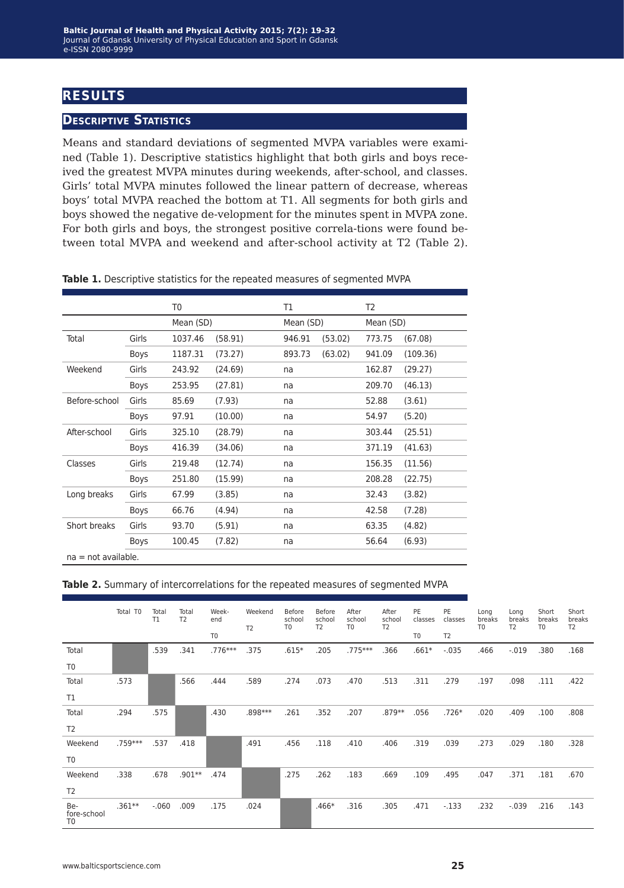# **results**

## **Descriptive Statistics**

Means and standard deviations of segmented MVPA variables were examined (Table 1). Descriptive statistics highlight that both girls and boys received the greatest MVPA minutes during weekends, after-school, and classes. Girls' total MVPA minutes followed the linear pattern of decrease, whereas boys' total MVPA reached the bottom at T1. All segments for both girls and boys showed the negative de-velopment for the minutes spent in MVPA zone. For both girls and boys, the strongest positive correla-tions were found between total MVPA and weekend and after-school activity at T2 (Table 2).

|                       |       | T0        |         | Τ1        |         | T2        |          |  |
|-----------------------|-------|-----------|---------|-----------|---------|-----------|----------|--|
|                       |       | Mean (SD) |         | Mean (SD) |         | Mean (SD) |          |  |
| Total                 | Girls | 1037.46   | (58.91) | 946.91    | (53.02) | 773.75    | (67.08)  |  |
|                       | Boys  | 1187.31   | (73.27) | 893.73    | (63.02) | 941.09    | (109.36) |  |
| Weekend               | Girls | 243.92    | (24.69) | na        |         | 162.87    | (29.27)  |  |
|                       | Boys  | 253.95    | (27.81) | na        |         | 209.70    | (46.13)  |  |
| Before-school         | Girls | 85.69     | (7.93)  | na        |         | 52.88     | (3.61)   |  |
|                       | Boys  | 97.91     | (10.00) | na        |         | 54.97     | (5.20)   |  |
| After-school          | Girls | 325.10    | (28.79) | na        |         |           | (25.51)  |  |
|                       | Boys  | 416.39    | (34.06) | na        |         | 371.19    | (41.63)  |  |
| Classes               | Girls | 219.48    | (12.74) | na        |         | 156.35    | (11.56)  |  |
|                       | Boys  | 251.80    | (15.99) | na        |         | 208.28    | (22.75)  |  |
| Long breaks           | Girls | 67.99     | (3.85)  | na        |         | 32.43     | (3.82)   |  |
|                       | Boys  | 66.76     | (4.94)  | na        |         | 42.58     | (7.28)   |  |
| Short breaks          | Girls | 93.70     | (5.91)  | na        |         | 63.35     | (4.82)   |  |
|                       | Boys  | 100.45    | (7.82)  | na        |         | 56.64     | (6.93)   |  |
| $na = not available.$ |       |           |         |           |         |           |          |  |

**Table 1.** Descriptive statistics for the repeated measures of segmented MVPA

#### **Table 2.** Summary of intercorrelations for the repeated measures of segmented MVPA

|                                      | Total T0 | Total<br>T1 | Total<br>T <sub>2</sub> | Week-<br>end<br>T <sub>0</sub> | Weekend<br>T <sub>2</sub> | Before<br>school<br>T <sub>0</sub> | Before<br>school<br>T <sub>2</sub> | After<br>school<br>T <sub>0</sub> | After<br>school<br>T <sub>2</sub> | PE<br>classes<br>T <sub>0</sub> | PE<br>classes<br>T <sub>2</sub> | Long<br>breaks<br>T <sub>0</sub> | Long<br>breaks<br>T <sub>2</sub> | Short<br>breaks<br>T <sub>0</sub> | Short<br>breaks<br>T <sub>2</sub> |
|--------------------------------------|----------|-------------|-------------------------|--------------------------------|---------------------------|------------------------------------|------------------------------------|-----------------------------------|-----------------------------------|---------------------------------|---------------------------------|----------------------------------|----------------------------------|-----------------------------------|-----------------------------------|
| Total                                |          | .539        | .341                    | .776***                        | .375                      | $.615*$                            | .205                               | .775***                           | .366                              | $.661*$                         | $-.035$                         | .466                             | $-.019$                          | .380                              | .168                              |
| T <sub>0</sub>                       |          |             |                         |                                |                           |                                    |                                    |                                   |                                   |                                 |                                 |                                  |                                  |                                   |                                   |
| Total                                | .573     |             | .566                    | .444                           | .589                      | .274                               | .073                               | .470                              | .513                              | .311                            | .279                            | .197                             | .098                             | .111                              | .422                              |
| T1                                   |          |             |                         |                                |                           |                                    |                                    |                                   |                                   |                                 |                                 |                                  |                                  |                                   |                                   |
| Total                                | .294     | .575        |                         | .430                           | .898 ***                  | .261                               | .352                               | .207                              | .879**                            | .056                            | $.726*$                         | .020                             | .409                             | .100                              | .808                              |
| T <sub>2</sub>                       |          |             |                         |                                |                           |                                    |                                    |                                   |                                   |                                 |                                 |                                  |                                  |                                   |                                   |
| Weekend                              | .759 *** | .537        | .418                    |                                | .491                      | .456                               | .118                               | .410                              | .406                              | .319                            | .039                            | .273                             | .029                             | .180                              | .328                              |
| T <sub>0</sub>                       |          |             |                         |                                |                           |                                    |                                    |                                   |                                   |                                 |                                 |                                  |                                  |                                   |                                   |
| Weekend                              | .338     | .678        | $.901**$                | .474                           |                           | .275                               | .262                               | .183                              | .669                              | .109                            | .495                            | .047                             | .371                             | .181                              | .670                              |
| T <sub>2</sub>                       |          |             |                         |                                |                           |                                    |                                    |                                   |                                   |                                 |                                 |                                  |                                  |                                   |                                   |
| Be-<br>fore-school<br>T <sub>0</sub> | .361**   | $-.060$     | .009                    | .175                           | .024                      |                                    | $.466*$                            | .316                              | .305                              | .471                            | $-.133$                         | .232                             | $-.039$                          | .216                              | .143                              |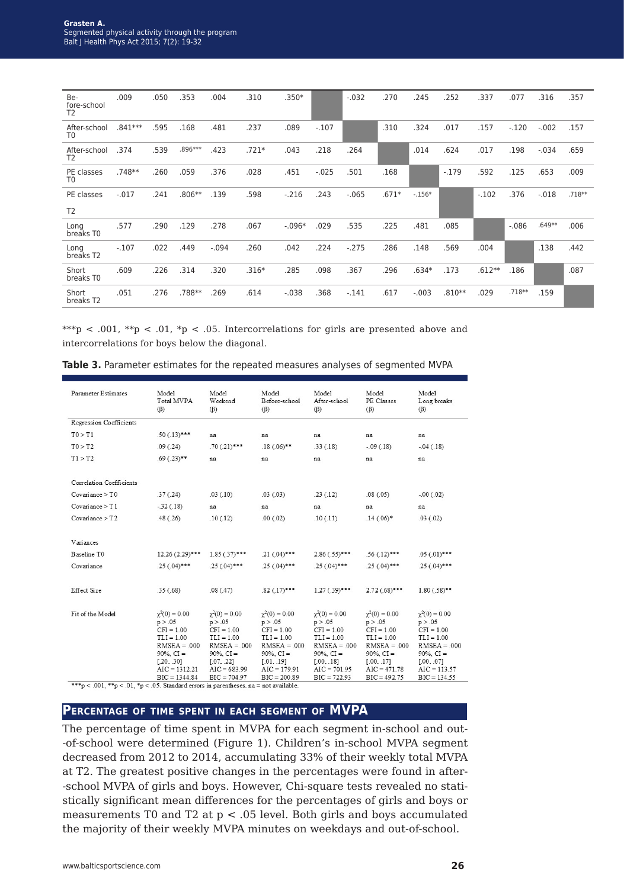| Be-<br>fore-school<br>T <sub>2</sub> | .009     | .050 | .353    | .004    | .310    | $.350*$  |         | $-.032$ | .270    | .245     | .252     | .337     | .077    | .316    | .357     |
|--------------------------------------|----------|------|---------|---------|---------|----------|---------|---------|---------|----------|----------|----------|---------|---------|----------|
| After-school<br>T <sub>0</sub>       | .841 *** | .595 | .168    | .481    | .237    | .089     | $-.107$ |         | .310    | .324     | .017     | .157     | $-.120$ | $-.002$ | .157     |
| After-school<br>T <sub>2</sub>       | .374     | .539 | .896*** | .423    | $.721*$ | .043     | .218    | .264    |         | .014     | .624     | .017     | .198    | $-.034$ | .659     |
| PE classes<br>T <sub>0</sub>         | .748**   | .260 | .059    | .376    | .028    | .451     | $-.025$ | .501    | .168    |          | $-.179$  | .592     | .125    | .653    | .009     |
| PE classes                           | $-.017$  | .241 | .806**  | .139    | .598    | $-.216$  | .243    | $-.065$ | $.671*$ | $-.156*$ |          | $-.102$  | .376    | $-.018$ | $.718**$ |
| T <sub>2</sub>                       |          |      |         |         |         |          |         |         |         |          |          |          |         |         |          |
| Long<br>breaks T0                    | .577     | .290 | .129    | .278    | .067    | $-.096*$ | .029    | .535    | .225    | .481     | .085     |          | $-.086$ | .649**  | .006     |
| Long<br>breaks T <sub>2</sub>        | $-.107$  | .022 | .449    | $-.094$ | .260    | .042     | .224    | $-.275$ | .286    | .148     | .569     | .004     |         | .138    | .442     |
| Short<br>breaks T0                   | .609     | .226 | .314    | .320    | $.316*$ | .285     | .098    | .367    | .296    | $.634*$  | .173     | $.612**$ | .186    |         | .087     |
| Short<br>breaks T2                   | .051     | .276 | .788**  | .269    | .614    | $-.038$  | .368    | $-.141$ | .617    | $-.003$  | $.810**$ | .029     | .718**  | .159    |          |

\*\*\*p < .001, \*\*p < .01, \*p < .05. Intercorrelations for girls are presented above and intercorrelations for boys below the diagonal.

| <b>Parameter Estimates</b> | Model<br>Total MVPA<br>$(\beta)$                                                                 | Model<br>Weekend<br>$(\beta)$                                                                      | Model<br>Model<br>Before-school<br>After-school<br>$(\beta)$<br>$(\beta)$                          |                                                                                                    | Model<br>PE Classes<br>$(\beta)$                                                                     | Model<br>Long breaks<br>$(\beta)$                                                                  |  |
|----------------------------|--------------------------------------------------------------------------------------------------|----------------------------------------------------------------------------------------------------|----------------------------------------------------------------------------------------------------|----------------------------------------------------------------------------------------------------|------------------------------------------------------------------------------------------------------|----------------------------------------------------------------------------------------------------|--|
| Regression Coefficients    |                                                                                                  |                                                                                                    |                                                                                                    |                                                                                                    |                                                                                                      |                                                                                                    |  |
| TO > T1                    | $.50(.13)$ ***                                                                                   | na                                                                                                 | na                                                                                                 | na                                                                                                 | na                                                                                                   | na                                                                                                 |  |
| T0 > T2                    | .09(.24)                                                                                         | $.70(.21)***$                                                                                      | $.18(.06)$ **                                                                                      | .33(.18)                                                                                           | $-.09(.18)$                                                                                          | $-.04(.18)$                                                                                        |  |
| T1 > T2                    | $.69(.23)$ **                                                                                    | na                                                                                                 | na                                                                                                 | na                                                                                                 | na                                                                                                   | na                                                                                                 |  |
|                            |                                                                                                  |                                                                                                    |                                                                                                    |                                                                                                    |                                                                                                      |                                                                                                    |  |
| Correlation Coefficients   |                                                                                                  |                                                                                                    |                                                                                                    |                                                                                                    |                                                                                                      |                                                                                                    |  |
| Covariance > T0            | .37(.24)                                                                                         | .03(.10)                                                                                           | .03(.03)                                                                                           | .23(.12)                                                                                           | .08(.05)                                                                                             | $-.00(.02)$                                                                                        |  |
| Covariance > T1            | $-32(.18)$                                                                                       | na                                                                                                 | na                                                                                                 | na                                                                                                 | na                                                                                                   | na                                                                                                 |  |
| Covariance $> T2$          | .48(.26)                                                                                         | .10(.12)                                                                                           | .00(.02)                                                                                           | .10(.11)                                                                                           | $.14(.06)$ *                                                                                         | .03(.02)                                                                                           |  |
|                            |                                                                                                  |                                                                                                    |                                                                                                    |                                                                                                    |                                                                                                      |                                                                                                    |  |
| Variances                  |                                                                                                  |                                                                                                    |                                                                                                    |                                                                                                    |                                                                                                      |                                                                                                    |  |
| Baseline TO                | $12.26(2.29)$ ***                                                                                | $1.85(.37)***$                                                                                     | $.21(.04)***$                                                                                      | $2.86(.55)***$                                                                                     | $.56(.12)***$                                                                                        | $.05(.01)***$                                                                                      |  |
| Covariance                 | $.25(.04)***$                                                                                    | $.25(.04)$ ***                                                                                     | $.25(.04)$ ***                                                                                     | $.25(0.04)$ ***                                                                                    | $.25(.04)$ ***                                                                                       | $.25(.04)$ ***                                                                                     |  |
|                            |                                                                                                  |                                                                                                    |                                                                                                    |                                                                                                    |                                                                                                      |                                                                                                    |  |
| Effect Size                | .35(.68)                                                                                         | .08(.47)                                                                                           | $.82$ $(.17)***$                                                                                   | $1.27(.39)***$                                                                                     | $2.72(68)***$                                                                                        | $1.80(.58)$ **                                                                                     |  |
|                            |                                                                                                  |                                                                                                    |                                                                                                    |                                                                                                    |                                                                                                      |                                                                                                    |  |
| Fit of the Model           | $\chi^2(0) = 0.00$<br>p > .05<br>$CFI = 1.00$<br>$TLI = 1.00$<br>$RMSEA = .000$<br>$90\%$ , CI = | $\gamma^2(0) = 0.00$<br>p > .05<br>$CFI = 1.00$<br>$TLI = 1.00$<br>$RMSEA = .000$<br>$90\%$ , CI = | $\gamma^2(0) = 0.00$<br>p > .05<br>$CFI = 1.00$<br>$TLI = 1.00$<br>$RMSEA = .000$<br>$90\%$ , CI = | $\gamma^2(0) = 0.00$<br>p > .05<br>$CFI = 1.00$<br>$TLI = 1.00$<br>$RMSEA = .000$<br>$90\%$ , CI = | $\gamma^2(0) = 0.00$<br>p > .05<br>$CFI = 1.00$<br>$TLI = 1.00$<br>$RMSEA = .000$<br>$90\%$ , $CI =$ | $\gamma^2(0) = 0.00$<br>p > .05<br>$CFI = 1.00$<br>$TLI = 1.00$<br>$RMSEA = .000$<br>$90\%$ , CI = |  |
|                            | [.20, .30]<br>$AIC = 1312.21$<br>$BIC = 1344.84$                                                 | [.07, .22]<br>$AIC = 683.99$<br>$BIC = 704.97$                                                     | [.01, .19]<br>$AIC = 179.91$<br>$BIC = 200.89$                                                     | [.00, .18]<br>$AIC = 701.95$<br>$BIC = 722.93$                                                     | [.00, .17]<br>$AIC = 471.78$<br>$BIC = 492.75$                                                       | [.00, .07]<br>$AIC = 113.57$<br>$BIC = 134.55$                                                     |  |

**Table 3.** Parameter estimates for the repeated measures analyses of segmented MVPA

 ${***}_p<.001,$ <br> ${**}_p<.01,$   ${*}_p<.05.$  Standard errors in parentheses. na = not available.

## **Percentage of time spent in each segment of MVPA**

The percentage of time spent in MVPA for each segment in-school and out- -of-school were determined (Figure 1). Children's in-school MVPA segment decreased from 2012 to 2014, accumulating 33% of their weekly total MVPA at T2. The greatest positive changes in the percentages were found in after- -school MVPA of girls and boys. However, Chi-square tests revealed no statistically significant mean differences for the percentages of girls and boys or measurements T0 and T2 at p < .05 level. Both girls and boys accumulated the majority of their weekly MVPA minutes on weekdays and out-of-school.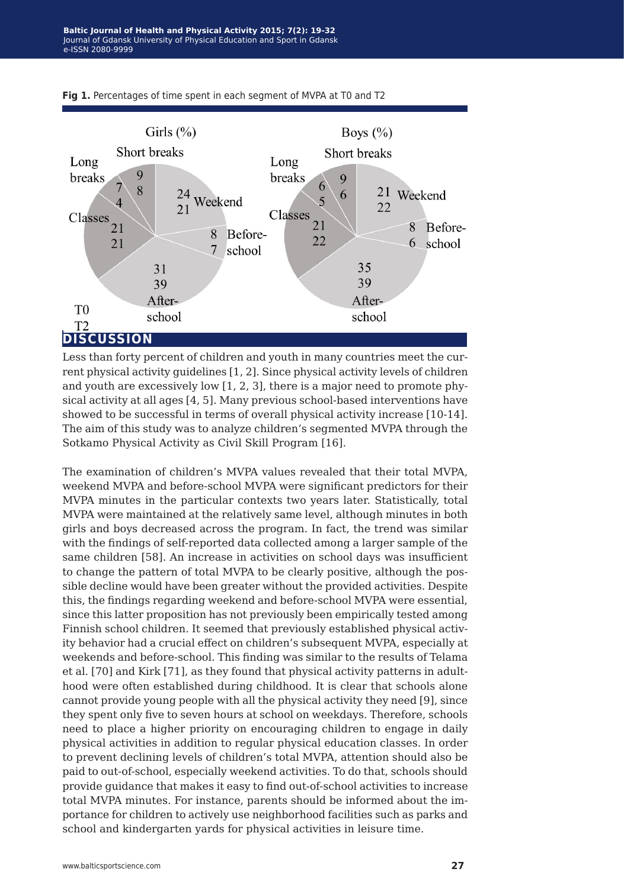

**Fig 1.** Percentages of time spent in each segment of MVPA at T0 and T2

Less than forty percent of children and youth in many countries meet the current physical activity guidelines [1, 2]. Since physical activity levels of children and youth are excessively low [1, 2, 3], there is a major need to promote physical activity at all ages [4, 5]. Many previous school-based interventions have showed to be successful in terms of overall physical activity increase [10-14]. The aim of this study was to analyze children's segmented MVPA through the Sotkamo Physical Activity as Civil Skill Program [16].

The examination of children's MVPA values revealed that their total MVPA, weekend MVPA and before-school MVPA were significant predictors for their MVPA minutes in the particular contexts two years later. Statistically, total MVPA were maintained at the relatively same level, although minutes in both girls and boys decreased across the program. In fact, the trend was similar with the findings of self-reported data collected among a larger sample of the same children [58]. An increase in activities on school days was insufficient to change the pattern of total MVPA to be clearly positive, although the possible decline would have been greater without the provided activities. Despite this, the findings regarding weekend and before-school MVPA were essential, since this latter proposition has not previously been empirically tested among Finnish school children. It seemed that previously established physical activity behavior had a crucial effect on children's subsequent MVPA, especially at weekends and before-school. This finding was similar to the results of Telama et al. [70] and Kirk [71], as they found that physical activity patterns in adulthood were often established during childhood. It is clear that schools alone cannot provide young people with all the physical activity they need [9], since they spent only five to seven hours at school on weekdays. Therefore, schools need to place a higher priority on encouraging children to engage in daily physical activities in addition to regular physical education classes. In order to prevent declining levels of children's total MVPA, attention should also be paid to out-of-school, especially weekend activities. To do that, schools should provide guidance that makes it easy to find out-of-school activities to increase total MVPA minutes. For instance, parents should be informed about the importance for children to actively use neighborhood facilities such as parks and school and kindergarten yards for physical activities in leisure time.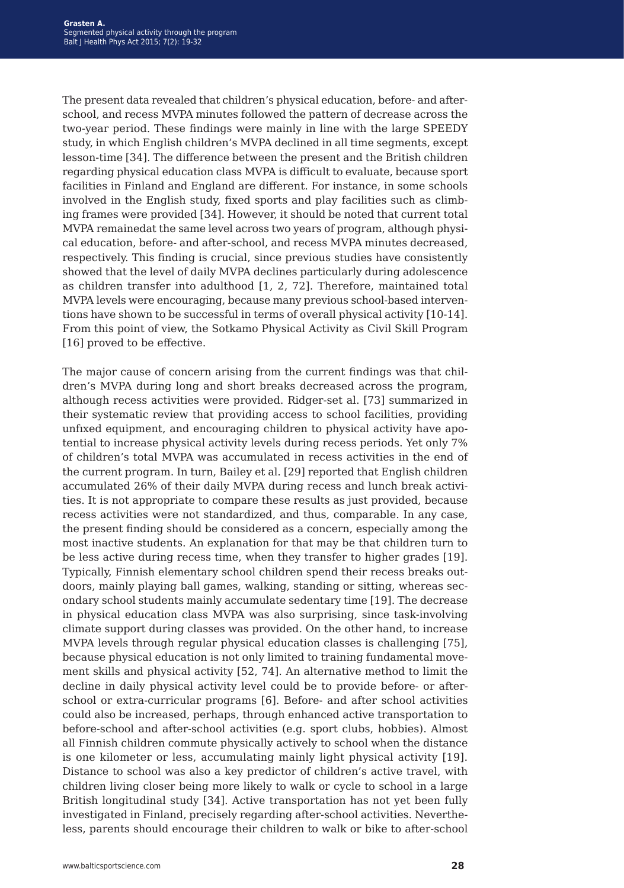The present data revealed that children's physical education, before- and afterschool, and recess MVPA minutes followed the pattern of decrease across the two-year period. These findings were mainly in line with the large SPEEDY study, in which English children's MVPA declined in all time segments, except lesson-time [34]. The difference between the present and the British children regarding physical education class MVPA is difficult to evaluate, because sport facilities in Finland and England are different. For instance, in some schools involved in the English study, fixed sports and play facilities such as climbing frames were provided [34]. However, it should be noted that current total MVPA remainedat the same level across two years of program, although physical education, before- and after-school, and recess MVPA minutes decreased, respectively. This finding is crucial, since previous studies have consistently showed that the level of daily MVPA declines particularly during adolescence as children transfer into adulthood [1, 2, 72]. Therefore, maintained total MVPA levels were encouraging, because many previous school-based interventions have shown to be successful in terms of overall physical activity [10-14]. From this point of view, the Sotkamo Physical Activity as Civil Skill Program [16] proved to be effective.

The major cause of concern arising from the current findings was that children's MVPA during long and short breaks decreased across the program, although recess activities were provided. Ridger-set al. [73] summarized in their systematic review that providing access to school facilities, providing unfıxed equipment, and encouraging children to physical activity have apotential to increase physical activity levels during recess periods. Yet only 7% of children's total MVPA was accumulated in recess activities in the end of the current program. In turn, Bailey et al. [29] reported that English children accumulated 26% of their daily MVPA during recess and lunch break activities. It is not appropriate to compare these results as just provided, because recess activities were not standardized, and thus, comparable. In any case, the present finding should be considered as a concern, especially among the most inactive students. An explanation for that may be that children turn to be less active during recess time, when they transfer to higher grades [19]. Typically, Finnish elementary school children spend their recess breaks outdoors, mainly playing ball games, walking, standing or sitting, whereas secondary school students mainly accumulate sedentary time [19]. The decrease in physical education class MVPA was also surprising, since task-involving climate support during classes was provided. On the other hand, to increase MVPA levels through regular physical education classes is challenging [75], because physical education is not only limited to training fundamental movement skills and physical activity [52, 74]. An alternative method to limit the decline in daily physical activity level could be to provide before- or afterschool or extra-curricular programs [6]. Before- and after school activities could also be increased, perhaps, through enhanced active transportation to before-school and after-school activities (e.g. sport clubs, hobbies). Almost all Finnish children commute physically actively to school when the distance is one kilometer or less, accumulating mainly light physical activity [19]. Distance to school was also a key predictor of children's active travel, with children living closer being more likely to walk or cycle to school in a large British longitudinal study [34]. Active transportation has not yet been fully investigated in Finland, precisely regarding after-school activities. Nevertheless, parents should encourage their children to walk or bike to after-school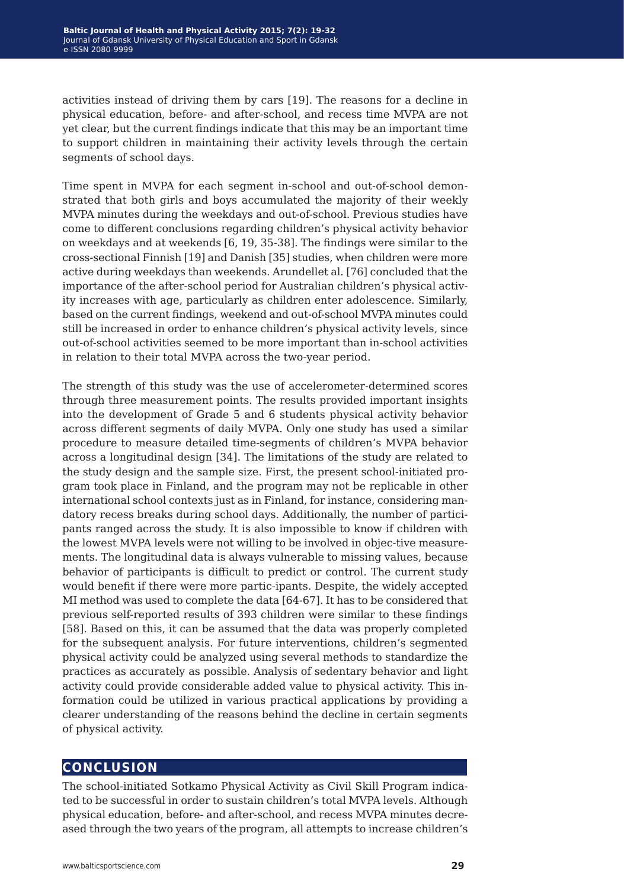activities instead of driving them by cars [19]. The reasons for a decline in physical education, before- and after-school, and recess time MVPA are not yet clear, but the current findings indicate that this may be an important time to support children in maintaining their activity levels through the certain segments of school days.

Time spent in MVPA for each segment in-school and out-of-school demonstrated that both girls and boys accumulated the majority of their weekly MVPA minutes during the weekdays and out-of-school. Previous studies have come to different conclusions regarding children's physical activity behavior on weekdays and at weekends [6, 19, 35-38]. The findings were similar to the cross-sectional Finnish [19] and Danish [35] studies, when children were more active during weekdays than weekends. Arundellet al. [76] concluded that the importance of the after-school period for Australian children's physical activity increases with age, particularly as children enter adolescence. Similarly, based on the current findings, weekend and out-of-school MVPA minutes could still be increased in order to enhance children's physical activity levels, since out-of-school activities seemed to be more important than in-school activities in relation to their total MVPA across the two-year period.

The strength of this study was the use of accelerometer-determined scores through three measurement points. The results provided important insights into the development of Grade 5 and 6 students physical activity behavior across different segments of daily MVPA. Only one study has used a similar procedure to measure detailed time-segments of children's MVPA behavior across a longitudinal design [34]. The limitations of the study are related to the study design and the sample size. First, the present school-initiated program took place in Finland, and the program may not be replicable in other international school contexts just as in Finland, for instance, considering mandatory recess breaks during school days. Additionally, the number of participants ranged across the study. It is also impossible to know if children with the lowest MVPA levels were not willing to be involved in objec-tive measurements. The longitudinal data is always vulnerable to missing values, because behavior of participants is difficult to predict or control. The current study would benefit if there were more partic-ipants. Despite, the widely accepted MI method was used to complete the data [64-67]. It has to be considered that previous self-reported results of 393 children were similar to these findings [58]. Based on this, it can be assumed that the data was properly completed for the subsequent analysis. For future interventions, children's segmented physical activity could be analyzed using several methods to standardize the practices as accurately as possible. Analysis of sedentary behavior and light activity could provide considerable added value to physical activity. This information could be utilized in various practical applications by providing a clearer understanding of the reasons behind the decline in certain segments of physical activity.

# **conclusion**

The school-initiated Sotkamo Physical Activity as Civil Skill Program indicated to be successful in order to sustain children's total MVPA levels. Although physical education, before- and after-school, and recess MVPA minutes decreased through the two years of the program, all attempts to increase children's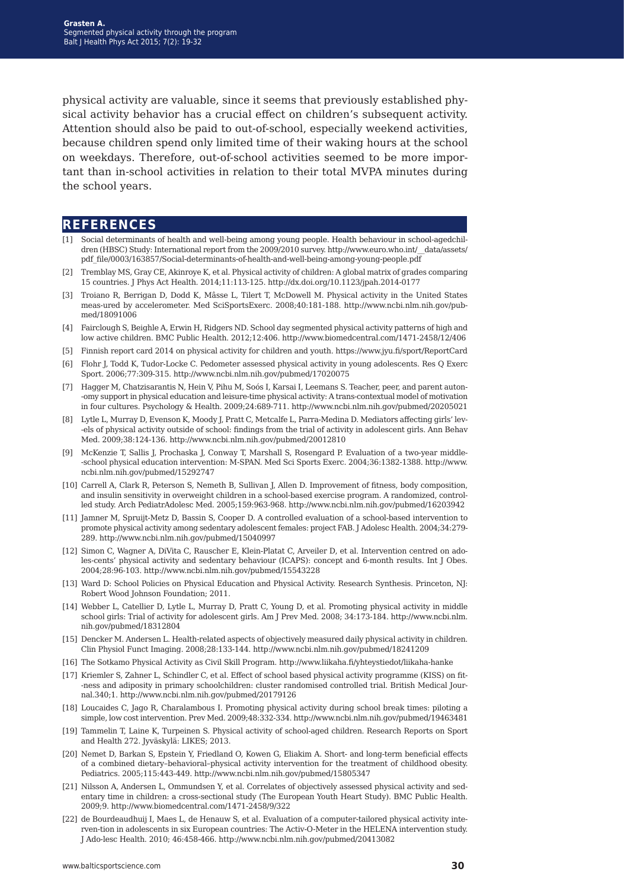physical activity are valuable, since it seems that previously established physical activity behavior has a crucial effect on children's subsequent activity. Attention should also be paid to out-of-school, especially weekend activities, because children spend only limited time of their waking hours at the school on weekdays. Therefore, out-of-school activities seemed to be more important than in-school activities in relation to their total MVPA minutes during the school years.

## **references**

- [1] Social determinants of health and well-being among young people. Health behaviour in school-agedchildren (HBSC) Study: International report from the 2009/2010 survey. http://www.euro.who.int/\_data/assets/ pdf\_file/0003/163857/Social-determinants-of-health-and-well-being-among-young-people.pdf
- [2] Tremblay MS, Gray CE, Akinroye K, et al. Physical activity of children: A global matrix of grades comparing 15 countries. J Phys Act Health. 2014;11:113-125. http://dx.doi.org/10.1123/jpah.2014-0177
- [3] Troiano R, Berrigan D, Dodd K, Mâsse L, Tilert T, McDowell M. Physical activity in the United States meas-ured by accelerometer. Med SciSportsExerc. 2008;40:181-188. http://www.ncbi.nlm.nih.gov/pubmed/18091006
- [4] Fairclough S, Beighle A, Erwin H, Ridgers ND. School day segmented physical activity patterns of high and low active children. BMC Public Health. 2012;12:406. http://www.biomedcentral.com/1471-2458/12/406
- [5] Finnish report card 2014 on physical activity for children and youth. https://www.jyu.fi/sport/ReportCard
- [6] Flohr J, Todd K, Tudor-Locke C. Pedometer assessed physical activity in young adolescents. Res Q Exerc Sport. 2006;77:309-315. http://www.ncbi.nlm.nih.gov/pubmed/17020075
- [7] Hagger M, Chatzisarantis N, Hein V, Pihu M, Soós I, Karsai I, Leemans S. Teacher, peer, and parent auton- -omy support in physical education and leisure-time physical activity: A trans-contextual model of motivation in four cultures. Psychology & Health. 2009;24:689-711. http://www.ncbi.nlm.nih.gov/pubmed/20205021
- [8] Lytle L, Murray D, Evenson K, Moody J, Pratt C, Metcalfe L, Parra-Medina D. Mediators affecting girls' lev- -els of physical activity outside of school: findings from the trial of activity in adolescent girls. Ann Behav Med. 2009;38:124-136. http://www.ncbi.nlm.nih.gov/pubmed/20012810
- [9] McKenzie T, Sallis J, Prochaska J, Conway T, Marshall S, Rosengard P. Evaluation of a two-year middle- -school physical education intervention: M-SPAN. Med Sci Sports Exerc. 2004;36:1382-1388. http://www. ncbi.nlm.nih.gov/pubmed/15292747
- [10] Carrell A, Clark R, Peterson S, Nemeth B, Sullivan J, Allen D. Improvement of fitness, body composition, and insulin sensitivity in overweight children in a school-based exercise program. A randomized, controlled study. Arch PediatrAdolesc Med. 2005;159:963-968. http://www.ncbi.nlm.nih.gov/pubmed/16203942
- [11] Jamner M, Spruijt-Metz D, Bassin S, Cooper D. A controlled evaluation of a school-based intervention to promote physical activity among sedentary adolescent females: project FAB. J Adolesc Health. 2004;34:279- 289. http://www.ncbi.nlm.nih.gov/pubmed/15040997
- [12] Simon C, Wagner A, DiVita C, Rauscher E, Klein-Platat C, Arveiler D, et al. Intervention centred on adoles-cents' physical activity and sedentary behaviour (ICAPS): concept and 6-month results. Int J Obes. 2004;28:96-103. http://www.ncbi.nlm.nih.gov/pubmed/15543228
- [13] Ward D: School Policies on Physical Education and Physical Activity. Research Synthesis. Princeton, NJ: Robert Wood Johnson Foundation; 2011.
- [14] Webber L, Catellier D, Lytle L, Murray D, Pratt C, Young D, et al. Promoting physical activity in middle school girls: Trial of activity for adolescent girls. Am J Prev Med. 2008; 34:173-184. http://www.ncbi.nlm. nih.gov/pubmed/18312804
- [15] Dencker M. Andersen L. Health-related aspects of objectively measured daily physical activity in children. Clin Physiol Funct Imaging. 2008;28:133-144. http://www.ncbi.nlm.nih.gov/pubmed/18241209
- [16] The Sotkamo Physical Activity as Civil Skill Program. http://www.liikaha.fi/yhteystiedot/liikaha-hanke
- [17] Kriemler S, Zahner L, Schindler C, et al. Effect of school based physical activity programme (KISS) on fit- -ness and adiposity in primary schoolchildren: cluster randomised controlled trial. British Medical Journal.340;1. http://www.ncbi.nlm.nih.gov/pubmed/20179126
- [18] Loucaides C, Jago R, Charalambous I. Promoting physical activity during school break times: piloting a simple, low cost intervention. Prev Med. 2009;48:332-334. http://www.ncbi.nlm.nih.gov/pubmed/19463481
- [19] Tammelin T, Laine K, Turpeinen S. Physical activity of school-aged children. Research Reports on Sport and Health 272. Jyväskylä: LIKES; 2013.
- [20] Nemet D, Barkan S, Epstein Y, Friedland O, Kowen G, Eliakim A. Short- and long-term beneficial effects of a combined dietary–behavioral–physical activity intervention for the treatment of childhood obesity. Pediatrics. 2005;115:443-449. http://www.ncbi.nlm.nih.gov/pubmed/15805347
- [21] Nilsson A, Andersen L, Ommundsen Y, et al. Correlates of objectively assessed physical activity and sedentary time in children: a cross-sectional study (The European Youth Heart Study). BMC Public Health. 2009;9. http://www.biomedcentral.com/1471-2458/9/322
- [22] de Bourdeaudhuij I, Maes L, de Henauw S, et al. Evaluation of a computer-tailored physical activity interven-tion in adolescents in six European countries: The Activ-O-Meter in the HELENA intervention study. J Ado-lesc Health. 2010; 46:458-466. http://www.ncbi.nlm.nih.gov/pubmed/20413082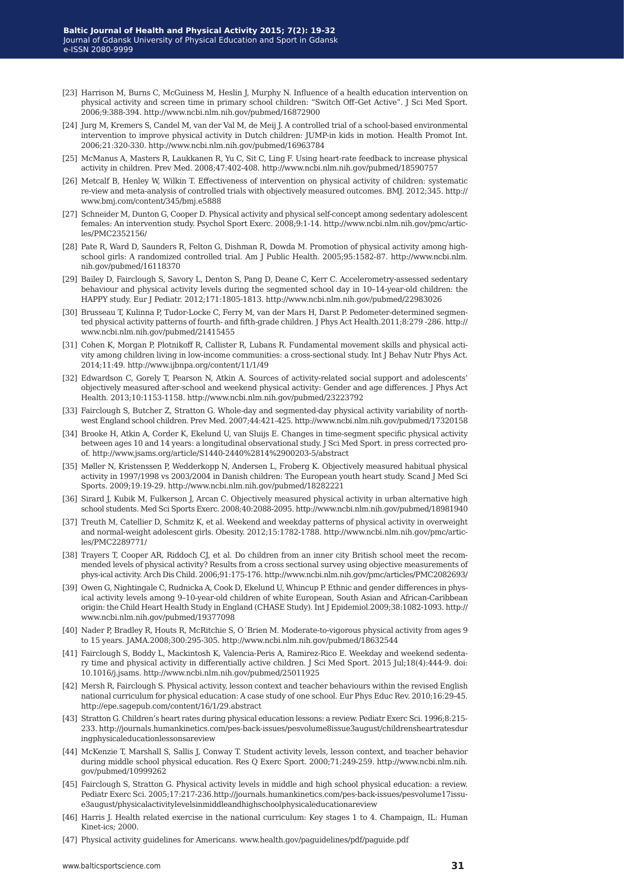- [23] Harrison M, Burns C, McGuiness M, Heslin J, Murphy N. Influence of a health education intervention on physical activity and screen time in primary school children: "Switch Off–Get Active". J Sci Med Sport. 2006;9:388-394. http://www.ncbi.nlm.nih.gov/pubmed/16872900
- [24] Jurg M, Kremers S, Candel M, van der Val M, de Meij J. A controlled trial of a school-based environmental intervention to improve physical activity in Dutch children: JUMP-in kids in motion. Health Promot Int. 2006;21:320-330. http://www.ncbi.nlm.nih.gov/pubmed/16963784
- [25] McManus A, Masters R, Laukkanen R, Yu C, Sit C, Ling F. Using heart-rate feedback to increase physical activity in children. Prev Med. 2008;47:402-408. http://www.ncbi.nlm.nih.gov/pubmed/18590757
- [26] Metcalf B, Henley W, Wilkin T. Effectiveness of intervention on physical activity of children: systematic re-view and meta-analysis of controlled trials with objectively measured outcomes. BMJ. 2012;345. http:// www.bmj.com/content/345/bmj.e5888
- [27] Schneider M, Dunton G, Cooper D. Physical activity and physical self-concept among sedentary adolescent females: An intervention study. Psychol Sport Exerc. 2008;9:1-14. http://www.ncbi.nlm.nih.gov/pmc/articles/PMC2352156/
- [28] Pate R, Ward D, Saunders R, Felton G, Dishman R, Dowda M. Promotion of physical activity among highschool girls: A randomized controlled trial. Am J Public Health. 2005;95:1582-87. http://www.ncbi.nlm. nih.gov/pubmed/16118370
- [29] Bailey D, Fairclough S, Savory L, Denton S, Pang D, Deane C, Kerr C. Accelerometry-assessed sedentary behaviour and physical activity levels during the segmented school day in 10–14-year-old children: the HAPPY study. Eur J Pediatr. 2012;171:1805-1813. http://www.ncbi.nlm.nih.gov/pubmed/22983026
- [30] Brusseau T, Kulinna P, Tudor-Locke C, Ferry M, van der Mars H, Darst P. Pedometer-determined segmented physical activity patterns of fourth- and fifth-grade children. J Phys Act Health.2011;8:279 -286. http:// www.ncbi.nlm.nih.gov/pubmed/21415455
- [31] Cohen K, Morgan P, Plotnikoff R, Callister R, Lubans R. Fundamental movement skills and physical activity among children living in low-income communities: a cross-sectional study. Int J Behav Nutr Phys Act. 2014;11:49. http://www.ijbnpa.org/content/11/1/49
- [32] Edwardson C, Gorely T, Pearson N, Atkin A. Sources of activity-related social support and adolescents' objectively measured after-school and weekend physical activity: Gender and age differences. J Phys Act Health. 2013;10:1153-1158. http://www.ncbi.nlm.nih.gov/pubmed/23223792
- [33] Fairclough S, Butcher Z, Stratton G. Whole-day and segmented-day physical activity variability of northwest England school children. Prev Med. 2007;44:421-425. http://www.ncbi.nlm.nih.gov/pubmed/17320158
- [34] Brooke H, Atkin A, Corder K, Ekelund U, van Sluijs E. Changes in time-segment specific physical activity between ages 10 and 14 years: a longitudinal observational study. J Sci Med Sport. in press corrected proof. http://www.jsams.org/article/S1440-2440%2814%2900203-5/abstract
- [35] Møller N, Kristenssen P, Wedderkopp N, Andersen L, Froberg K. Objectively measured habitual physical activity in 1997/1998 vs 2003/2004 in Danish children: The European youth heart study. Scand J Med Sci Sports. 2009;19:19-29. http://www.ncbi.nlm.nih.gov/pubmed/18282221
- [36] Sirard J, Kubik M, Fulkerson J, Arcan C. Objectively measured physical activity in urban alternative high school students. Med Sci Sports Exerc. 2008;40:2088-2095. http://www.ncbi.nlm.nih.gov/pubmed/18981940
- [37] Treuth M, Catellier D, Schmitz K, et al. Weekend and weekday patterns of physical activity in overweight and normal-weight adolescent girls. Obesity. 2012;15:1782-1788. http://www.ncbi.nlm.nih.gov/pmc/articles/PMC2289771/
- [38] Trayers T, Cooper AR, Riddoch CJ, et al. Do children from an inner city British school meet the recommended levels of physical activity? Results from a cross sectional survey using objective measurements of phys-ical activity. Arch Dis Child. 2006;91:175-176. http://www.ncbi.nlm.nih.gov/pmc/articles/PMC2082693/
- [39] Owen G, Nightingale C, Rudnicka A, Cook D, Ekelund U, Whincup P. Ethnic and gender differences in physical activity levels among 9–10-year-old children of white European, South Asian and African-Caribbean origin: the Child Heart Health Study in England (CHASE Study). Int J Epidemiol.2009;38:1082-1093. http:// www.ncbi.nlm.nih.gov/pubmed/19377098
- [40] Nader P, Bradley R, Houts R, McRitchie S, O´Brien M. Moderate-to-vigorous physical activity from ages 9 to 15 years. JAMA.2008;300:295-305. http://www.ncbi.nlm.nih.gov/pubmed/18632544
- [41] Fairclough S, Boddy L, Mackintosh K, Valencia-Peris A, Ramirez-Rico E. Weekday and weekend sedentary time and physical activity in differentially active children. J Sci Med Sport. 2015 Jul;18(4):444-9. doi: 10.1016/j.jsams. http://www.ncbi.nlm.nih.gov/pubmed/25011925
- [42] Mersh R, Fairclough S. Physical activity, lesson context and teacher behaviours within the revised English national curriculum for physical education: A case study of one school. Eur Phys Educ Rev. 2010;16:29-45. http://epe.sagepub.com/content/16/1/29.abstract
- [43] Stratton G. Children's heart rates during physical education lessons: a review. Pediatr Exerc Sci. 1996;8:215- 233. http://journals.humankinetics.com/pes-back-issues/pesvolume8issue3august/childrensheartratesdur ingphysicaleducationlessonsareview
- [44] McKenzie T, Marshall S, Sallis J, Conway T. Student activity levels, lesson context, and teacher behavior during middle school physical education. Res Q Exerc Sport. 2000;71:249-259. http://www.ncbi.nlm.nih. gov/pubmed/10999262
- [45] Fairclough S, Stratton G. Physical activity levels in middle and high school physical education: a review. Pediatr Exerc Sci. 2005;17:217-236.http://journals.humankinetics.com/pes-back-issues/pesvolume17issue3august/physicalactivitylevelsinmiddleandhighschoolphysicaleducationareview
- [46] Harris J. Health related exercise in the national curriculum: Key stages 1 to 4. Champaign, IL: Human Kinet-ics; 2000.
- [47] Physical activity guidelines for Americans. www.health.gov/paguidelines/pdf/paguide.pdf